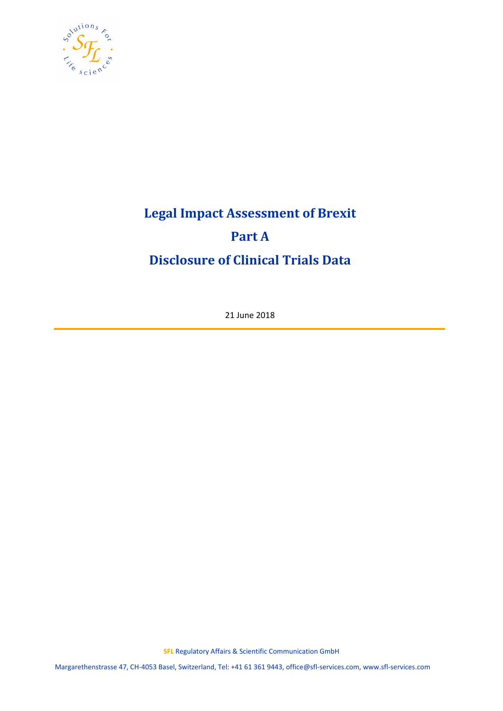

# **Legal Impact Assessment of Brexit Part A Disclosure of Clinical Trials Data**

21 June 2018

**SFL** Regulatory Affairs & Scientific Communication GmbH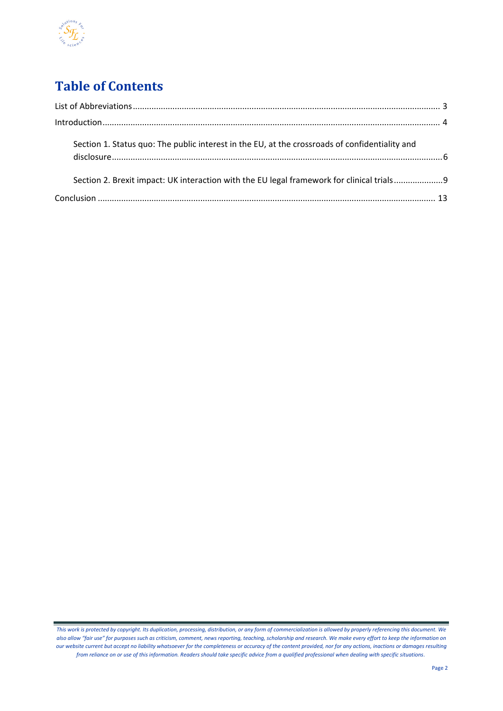

# **Table of Contents**

| Section 1. Status quo: The public interest in the EU, at the crossroads of confidentiality and |  |
|------------------------------------------------------------------------------------------------|--|
| Section 2. Brexit impact: UK interaction with the EU legal framework for clinical trials       |  |
|                                                                                                |  |

*This work is protected by copyright. Its duplication, processing, distribution, or any form of commercialization is allowed by properly referencing this document. We also allow "fair use" for purposes such as criticism, comment, news reporting, teaching, scholarship and research. We make every effort to keep the information on our website current but accept no liability whatsoever for the completeness or accuracy of the content provided, nor for any actions, inactions or damages resulting from reliance on or use of this information. Readers should take specific advice from a qualified professional when dealing with specific situations*.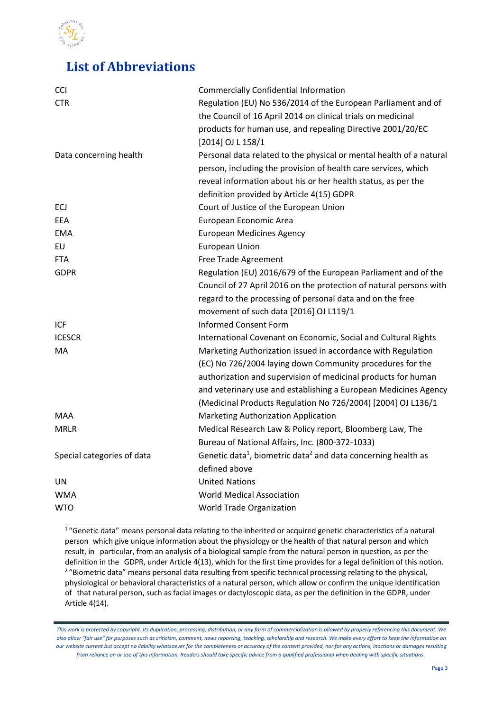

### <span id="page-2-0"></span>**List of Abbreviations**

| CCI                        | <b>Commercially Confidential Information</b>                                          |
|----------------------------|---------------------------------------------------------------------------------------|
| <b>CTR</b>                 | Regulation (EU) No 536/2014 of the European Parliament and of                         |
|                            | the Council of 16 April 2014 on clinical trials on medicinal                          |
|                            | products for human use, and repealing Directive 2001/20/EC                            |
|                            | [2014] OJ L 158/1                                                                     |
| Data concerning health     | Personal data related to the physical or mental health of a natural                   |
|                            | person, including the provision of health care services, which                        |
|                            | reveal information about his or her health status, as per the                         |
|                            | definition provided by Article 4(15) GDPR                                             |
| ECJ                        | Court of Justice of the European Union                                                |
| EEA                        | European Economic Area                                                                |
| <b>EMA</b>                 | <b>European Medicines Agency</b>                                                      |
| EU                         | <b>European Union</b>                                                                 |
| <b>FTA</b>                 | Free Trade Agreement                                                                  |
| <b>GDPR</b>                | Regulation (EU) 2016/679 of the European Parliament and of the                        |
|                            | Council of 27 April 2016 on the protection of natural persons with                    |
|                            | regard to the processing of personal data and on the free                             |
|                            | movement of such data [2016] OJ L119/1                                                |
| ICF                        | <b>Informed Consent Form</b>                                                          |
| <b>ICESCR</b>              | International Covenant on Economic, Social and Cultural Rights                        |
| MA                         | Marketing Authorization issued in accordance with Regulation                          |
|                            | (EC) No 726/2004 laying down Community procedures for the                             |
|                            | authorization and supervision of medicinal products for human                         |
|                            | and veterinary use and establishing a European Medicines Agency                       |
|                            | (Medicinal Products Regulation No 726/2004) [2004] OJ L136/1                          |
| MAA                        | Marketing Authorization Application                                                   |
| <b>MRLR</b>                | Medical Research Law & Policy report, Bloomberg Law, The                              |
|                            | Bureau of National Affairs, Inc. (800-372-1033)                                       |
| Special categories of data | Genetic data <sup>1</sup> , biometric data <sup>2</sup> and data concerning health as |
|                            | defined above                                                                         |
| <b>UN</b>                  | <b>United Nations</b>                                                                 |
| <b>WMA</b>                 | <b>World Medical Association</b>                                                      |
| <b>WTO</b>                 | World Trade Organization                                                              |

<sup>1</sup>"Genetic data" means personal data relating to the inherited or acquired genetic characteristics of a natural person which give unique information about the physiology or the health of that natural person and which result, in particular, from an analysis of a biological sample from the natural person in question, as per the definition in the GDPR, under Article 4(13), which for the first time provides for a legal definition of this notion. <sup>2</sup> "Biometric data" means personal data resulting from specific technical processing relating to the physical, physiological or behavioral characteristics of a natural person, which allow or confirm the unique identification of that natural person, such as facial images or dactyloscopic data, as per the definition in the GDPR, under Article 4(14).

*This work is protected by copyright. Its duplication, processing, distribution, or any form of commercialization is allowed by properly referencing this document. We also allow "fair use" for purposes such as criticism, comment, news reporting, teaching, scholarship and research. We make every effort to keep the information on our website current but accept no liability whatsoever for the completeness or accuracy of the content provided, nor for any actions, inactions or damages resulting from reliance on or use of this information. Readers should take specific advice from a qualified professional when dealing with specific situations*.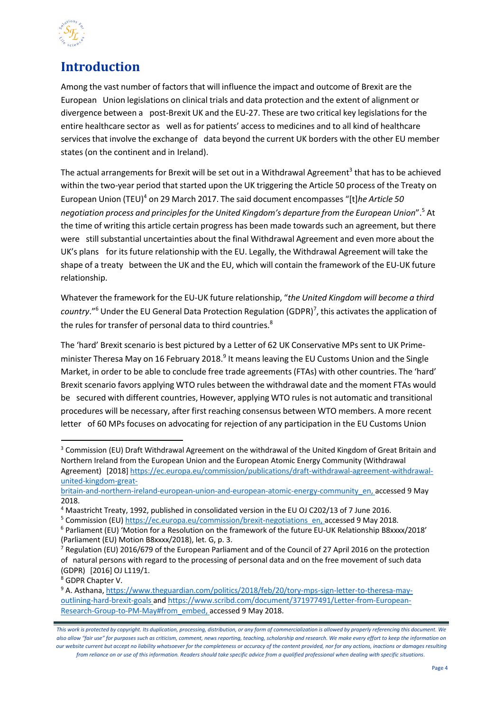

### <span id="page-3-0"></span>**Introduction**

Among the vast number of factors that will influence the impact and outcome of Brexit are the European Union legislations on clinical trials and data protection and the extent of alignment or divergence between a post-Brexit UK and the EU-27. These are two critical key legislations for the entire healthcare sector as well as for patients' access to medicines and to all kind of healthcare services that involve the exchange of data beyond the current UK borders with the other EU member states (on the continent and in Ireland).

The actual arrangements for Brexit will be set out in a Withdrawal Agreement<sup>3</sup> that has to be achieved within the two-year period that started upon the UK triggering the Article 50 process of the Treaty on European Union (TEU[\)](#page-3-2)<sup>4</sup> on 29 March 2017. The said document encompasses "[t]*he Article 50 negotiation process and principlesfor the United Kingdom's departure from the European Union*"[.](#page-3-3)<sup>5</sup> At the time of writing this article certain progress has been made towards such an agreement, but there were stillsubstantial uncertainties about the final Withdrawal Agreement and even more about the UK's plans for its future relationship with the EU. Legally, the Withdrawal Agreement will take the shape of a treaty between the UK and the EU, which will contain the framework of the EU-UK future relationship.

Whatever the framework for the EU-UK future relationship, "*the United Kingdom will become a third* country."<sup>[6](#page-3-4)</sup> Under the EU General Data Protection Regulation (GDPR)<sup>[7](#page-3-5)</sup>, this activates the application of the rules for transfer of personal data to third countries.<sup>8</sup>

The 'hard' Brexit scenario is best pictured by a Letter of 62 UK Conservative MPs sent to UK Prime-minister Theresa May on 16 February 2018.<sup>[9](#page-3-7)</sup> It means leaving the EU Customs Union and the Single Market, in order to be able to conclude free trade agreements (FTAs) with other countries. The 'hard' Brexit scenario favors applying WTO rules between the withdrawal date and the moment FTAs would be secured with different countries, However, applying WTO rules is not automatic and transitional procedures will be necessary, after first reaching consensus between WTO members. A more recent letter of 60 MPs focuses on advocating for rejection of any participation in the EU Customs Union

<span id="page-3-1"></span><sup>&</sup>lt;sup>3</sup> Commission (EU) Draft Withdrawal Agreement on the withdrawal of the United Kingdom of Great Britain and Northern Ireland from the European Union and the European Atomic Energy Community (Withdrawal Agreement) [2018] [https://ec.europa.eu/commission/publications/draft-withdrawal-agreement-withdrawal](https://ec.europa.eu/commission/publications/draft-withdrawal-agreement-withdrawal-united-kingdom-great-britain-and-northern-ireland-european-union-and-european-atomic-energy-community_en)[united-kingdom-great-](https://ec.europa.eu/commission/publications/draft-withdrawal-agreement-withdrawal-united-kingdom-great-britain-and-northern-ireland-european-union-and-european-atomic-energy-community_en)

[britain-and-northern-ireland-european-union-and-european-atomic-energy-community\\_en,](https://ec.europa.eu/commission/publications/draft-withdrawal-agreement-withdrawal-united-kingdom-great-britain-and-northern-ireland-european-union-and-european-atomic-energy-community_en) accessed 9 May 2018.

<span id="page-3-2"></span><sup>4</sup> Maastricht Treaty, 1992, published in consolidated version in the EU OJ C202/13 of 7 June 2016.

<span id="page-3-3"></span><sup>&</sup>lt;sup>5</sup> Commission (EU[\) https://ec.europa.eu/commission/brexit-negotiations\\_en,](https://ec.europa.eu/commission/brexit-negotiations_en) accessed 9 May 2018.

<span id="page-3-4"></span><sup>6</sup> Parliament (EU) 'Motion for a Resolution on the framework of the future EU-UK Relationship B8xxxx/2018' (Parliament (EU) Motion B8xxxx/2018), let. G, p. 3.

<span id="page-3-5"></span><sup>7</sup> Regulation (EU) 2016/679 of the European Parliament and of the Council of 27 April 2016 on the protection of natural persons with regard to the processing of personal data and on the free movement of such data (GDPR) [2016] OJ L119/1.

<span id="page-3-6"></span><sup>8</sup> GDPR Chapter V.

<span id="page-3-7"></span><sup>9</sup> A. Asthana, [https://www.theguardian.com/politics/2018/feb/20/tory-mps-sign-letter-to-theresa-may](https://www.theguardian.com/politics/2018/feb/20/tory-mps-sign-letter-to-theresa-may-outlining-hard-brexit-goals)[outlining-hard-](https://www.theguardian.com/politics/2018/feb/20/tory-mps-sign-letter-to-theresa-may-outlining-hard-brexit-goals)brexit-goals and [https://www.scribd.com/document/371977491/Letter-from-European-](https://www.scribd.com/document/371977491/Letter-from-European-Research-Group-to-PM-May#from_embed)[Research-Group-to-PM-May#from\\_embed,](https://www.scribd.com/document/371977491/Letter-from-European-Research-Group-to-PM-May#from_embed) accessed 9 May 2018.

*This work is protected by copyright. Its duplication, processing, distribution, or any form of commercialization is allowed by properly referencing this document. We also allow "fair use" for purposes such as criticism, comment, news reporting, teaching, scholarship and research. We make every effort to keep the information on our website current but accept no liability whatsoever for the completeness or accuracy of the content provided, nor for any actions, inactions or damages resulting from reliance on or use of this information. Readers should take specific advice from a qualified professional when dealing with specific situations*.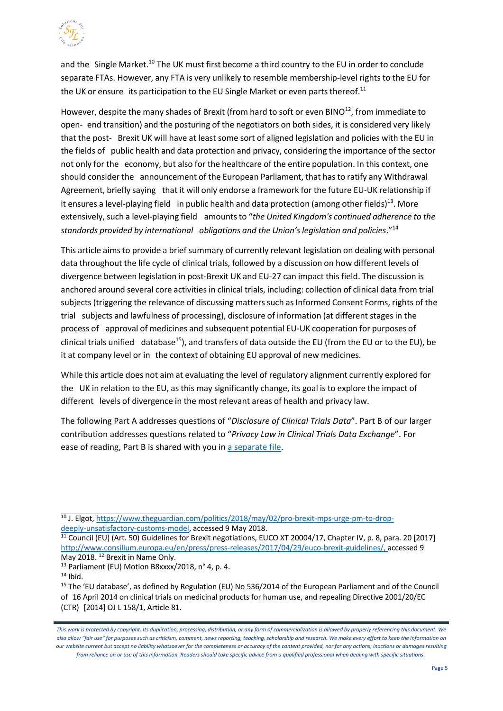<span id="page-4-1"></span>

and the Single Market.<sup>10</sup> The UK must first become a third country to the EU in order to conclude separate FTAs. However, any FTA is very unlikely to resemble membership-level rights to the EU for the UK or ensure its participation to the EU Single Market or even parts thereof. $^{11}$  $^{11}$  $^{11}$ 

However, despite the many shades of Brexit (from hard to soft or even BINO $^{12}$ , from immediate to open- end transition) and the posturing of the negotiators on both sides, it is considered very likely that the post- Brexit UK will have at least some sort of aligned legislation and policies with the EU in the fields of public health and data protection and privacy, considering the importance of the sector not only for the economy, but also for the healthcare of the entire population. In this context, one should consider the announcement of the European Parliament, that has to ratify any Withdrawal Agreement, briefly saying that it will only endorse a framework for the future EU-UK relationship if it ensures a level-playing field in public health and data protection (among other fields)<sup>13</sup>. More extensively, such a level-playing field amountsto "*the United Kingdom's continued adherence to the standards provided by international obligations and the Union'slegislation and policies*."[14](#page-4-3)

This article aimsto provide a brief summary of currently relevant legislation on dealing with personal data throughout the life cycle of clinical trials, followed by a discussion on how different levels of divergence between legislation in post-Brexit UK and EU-27 can impact this field. The discussion is anchored around several core activities in clinical trials, including: collection of clinical data from trial subjects (triggering the relevance of discussing matters such as Informed Consent Forms, rights of the trial subjects and lawfulness of processing), disclosure of information (at different stagesin the process of approval of medicines and subsequent potential EU-UK cooperation for purposes of clinical trials unified database<sup>15</sup>), and transfers of data outside the EU (from the EU or to the EU), be it at company level or in the context of obtaining EU approval of new medicines.

While this article does not aim at evaluating the level of regulatory alignment currently explored for the UK in relation to the EU, as this may significantly change, its goal is to explore the impact of different levels of divergence in the most relevant areas of health and privacy law.

The following Part A addresses questions of "*Disclosure of Clinical Trials Data*". Part B of our larger contribution addresses questions related to "*Privacy Law in Clinical Trials Data Exchange*". For ease of reading, Part B is shared with you i[n a separate file.](http://www.sfl-services.com/news/Potential-Brexit-impact-on-the-conduct-of-clinical-trials)

<span id="page-4-0"></span><sup>&</sup>lt;sup>10</sup> J. Elgot, [https://www.theguardian.com/politics/2018/may/02/pro-brexit-mps-urge-pm-to-drop](https://www.theguardian.com/politics/2018/may/02/pro-brexit-mps-urge-pm-to-drop-deeply-unsatisfactory-customs-model)[deeply-unsatisfactory-customs-model,](https://www.theguardian.com/politics/2018/may/02/pro-brexit-mps-urge-pm-to-drop-deeply-unsatisfactory-customs-model) accessed 9 May 2018.

<sup>&</sup>lt;sup>11</sup> Council (EU) (Art. 50) Guidelines for Brexit negotiations, EUCO XT 20004/17, Chapter IV, p. 8, para. 20 [2017] [http://www.consilium.europa.eu/en/press/press-releases/2017/04/29/euco-brexit-guidelines/,](http://www.consilium.europa.eu/en/press/press-releases/2017/04/29/euco-brexit-guidelines/) accessed 9 May 2018. <sup>12</sup> Brexit in Name Only.

<span id="page-4-2"></span><sup>&</sup>lt;sup>13</sup> Parliament (EU) Motion B8xxxx/2018, n° 4, p. 4.

<span id="page-4-3"></span> $14$  Ibid.

<span id="page-4-4"></span><sup>15</sup> The 'EU database', as defined by Regulation (EU) No 536/2014 of the European Parliament and of the Council of 16 April 2014 on clinical trials on medicinal products for human use, and repealing Directive 2001/20/EC (CTR) [2014] OJ L 158/1, Article 81.

*This work is protected by copyright. Its duplication, processing, distribution, or any form of commercialization is allowed by properly referencing this document. We also allow "fair use" for purposes such as criticism, comment, news reporting, teaching, scholarship and research. We make every effort to keep the information on our website current but accept no liability whatsoever for the completeness or accuracy of the content provided, nor for any actions, inactions or damages resulting from reliance on or use of this information. Readers should take specific advice from a qualified professional when dealing with specific situations*.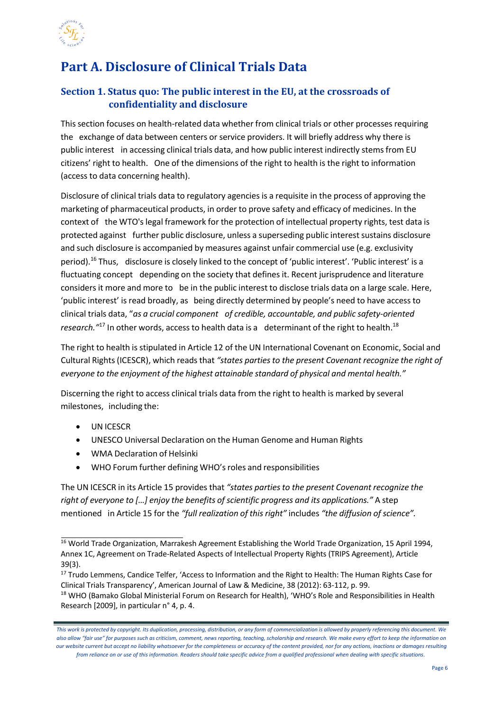

## **Part A. Disclosure of Clinical Trials Data**

#### <span id="page-5-0"></span>**Section 1. Status quo: The public interest in the EU, at the crossroads of confidentiality and disclosure**

This section focuses on health-related data whether from clinical trials or other processes requiring the exchange of data between centers or service providers. It will briefly address why there is public interest in accessing clinical trials data, and how public interest indirectly stems from EU citizens' right to health. One of the dimensions of the right to health is the right to information (access to data concerning health).

Disclosure of clinical trials data to regulatory agenciesis a requisite in the process of approving the marketing of pharmaceutical products, in order to prove safety and efficacy of medicines. In the context of the WTO's legal framework for the protection of intellectual property rights, test data is protected against further public disclosure, unless a superseding public interest sustains disclosure and such disclosure is accompanied by measures against unfair commercial use (e.g. exclusivity period).<sup>[16](#page-5-1)</sup> Thus, disclosure is closely linked to the concept of 'public interest'. 'Public interest' is a fluctuating concept depending on the society that defines it. Recent jurisprudence and literature considers it more and more to be in the public interest to disclose trials data on a large scale. Here, 'public interest' is read broadly, as being directly determined by people's need to have accessto clinical trials data, "*as a crucial component of credible, accountable, and public safety-oriented research.*"<sup>17</sup> In other words, access to health data is a determinant of the right to health.<sup>18</sup>

The right to health is stipulated in Article 12 of the UN International Covenant on Economic, Social and Cultural Rights(ICESCR), which readsthat *"states partiesto the present Covenant recognize the right of everyone to the enjoyment of the highest attainable standard of physical and mental health."*

Discerning the right to access clinical trials data from the right to health is marked by several milestones, including the:

- UN ICESCR
- UNESCO Universal Declaration on the Human Genome and Human Rights
- WMA Declaration of Helsinki
- WHO Forum further defining WHO's roles and responsibilities

The UN ICESCR in its Article 15 provides that *"states parties to the present Covenant recognize the right of everyone to […] enjoy the benefits of scientific progress and its applications."* A step mentioned in Article 15 for the *"full realization of this right"* includes *"the diffusion of science".*

<sup>17</sup> Trudo Lemmens, Candice Telfer, 'Access to Information and the Right to Health: The Human Rights Case for Clinical Trials Transparency', American Journal of Law & Medicine, 38 (2012): 63-112, p. 99.

<span id="page-5-1"></span><sup>&</sup>lt;sup>16</sup> World Trade Organization, Marrakesh Agreement Establishing the World Trade Organization, 15 April 1994, Annex 1C, Agreement on Trade-Related Aspects of Intellectual Property Rights (TRIPS Agreement), Article 39(3).

<span id="page-5-2"></span><sup>&</sup>lt;sup>18</sup> WHO (Bamako Global Ministerial Forum on Research for Health), 'WHO's Role and Responsibilities in Health Research [2009], in particular n° 4, p. 4.

*This work is protected by copyright. Its duplication, processing, distribution, or any form of commercialization is allowed by properly referencing this document. We also allow "fair use" for purposes such as criticism, comment, news reporting, teaching, scholarship and research. We make every effort to keep the information on our website current but accept no liability whatsoever for the completeness or accuracy of the content provided, nor for any actions, inactions or damages resulting from reliance on or use of this information. Readers should take specific advice from a qualified professional when dealing with specific situations*.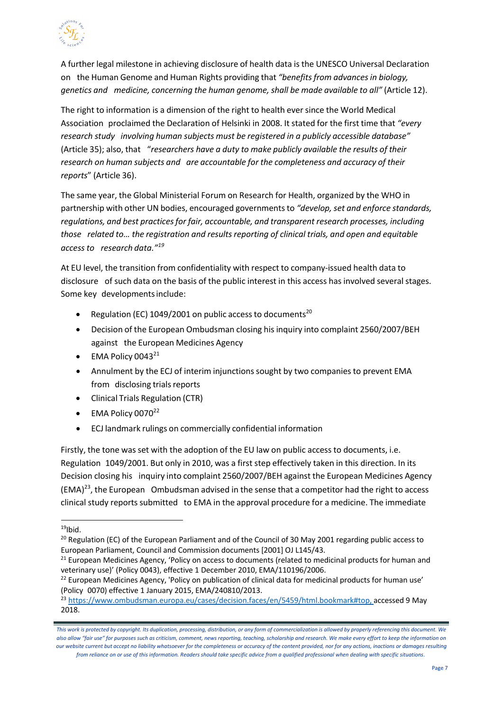

A further legal milestone in achieving disclosure of health data is the UNESCO Universal Declaration on the Human Genome and Human Rights providing that *"benefitsfrom advancesin biology, genetics and medicine, concerning the human genome, shall be made available to all"* (Article 12).

The right to information is a dimension of the right to health ever since the World Medical Association proclaimed the Declaration of Helsinki in 2008. It stated for the first time that *"every research study involving human subjects must be registered in a publicly accessible database"* (Article 35); also, that "*researchers have a duty to make publicly available the results of their research on human subjects and are accountable for the completeness and accuracy of their reports*" (Article 36).

The same year, the Global Ministerial Forum on Research for Health, organized by the WHO in partnership with other UN bodies, encouraged governmentsto *"develop, set and enforce standards, regulations, and best practicesfor fair, accountable, and transparent research processes, including those related to… the registration and resultsreporting of clinical trials, and open and equitable access to research data."[19](#page-6-0)*

At EU level, the transition from confidentiality with respect to company-issued health data to disclosure of such data on the basis of the public interest in this access has involved several stages. Some key developmentsinclude:

- Regulation (EC) 1049/[20](#page-6-1)01 on public access to documents<sup>20</sup>
- Decision of the European Ombudsman closing his inquiry into complaint 2560/2007/BEH against the European Medicines Agency
- EMA Policy 0043 $^{21}$  $^{21}$  $^{21}$
- Annulment by the ECJ of interim injunctions sought by two companies to prevent EMA from disclosing trials reports
- Clinical Trials Regulation (CTR)
- $\bullet$  EMA Policy 0070<sup>[22](#page-6-3)</sup>
- ECJ landmark rulings on commercially confidential information

Firstly, the tone was set with the adoption of the EU law on public accessto documents, i.e. Regulation 1049/2001. But only in 2010, was a first step effectively taken in this direction. In its Decision closing his inquiry into complaint 2560/2007/BEH against the European Medicines Agency  $(EMA)^{23}$ , the European Ombudsman advised in the sense that a competitor had the right to access clinical study reports submitted to EMA in the approval procedure for a medicine. The immediate

<span id="page-6-0"></span> $19$ Ibid.

<span id="page-6-1"></span><sup>&</sup>lt;sup>20</sup> Regulation (EC) of the European Parliament and of the Council of 30 May 2001 regarding public access to European Parliament, Council and Commission documents [2001] OJ L145/43.

<span id="page-6-2"></span><sup>&</sup>lt;sup>21</sup> European Medicines Agency, 'Policy on access to documents (related to medicinal products for human and veterinary use)' (Policy 0043), effective 1 December 2010, EMA/110196/2006.

<span id="page-6-3"></span><sup>&</sup>lt;sup>22</sup> European Medicines Agency, 'Policy on publication of clinical data for medicinal products for human use' (Policy 0070) effective 1 January 2015, EMA/240810/2013.

<span id="page-6-4"></span><sup>23</sup> [https://www.ombudsman.europa.eu/cases/decision.faces/en/5459/html.bookmark#top, a](https://www.ombudsman.europa.eu/cases/decision.faces/en/5459/html.bookmark#top)ccessed 9 May 2018.

*This work is protected by copyright. Its duplication, processing, distribution, or any form of commercialization is allowed by properly referencing this document. We also allow "fair use" for purposes such as criticism, comment, news reporting, teaching, scholarship and research. We make every effort to keep the information on our website current but accept no liability whatsoever for the completeness or accuracy of the content provided, nor for any actions, inactions or damages resulting from reliance on or use of this information. Readers should take specific advice from a qualified professional when dealing with specific situations*.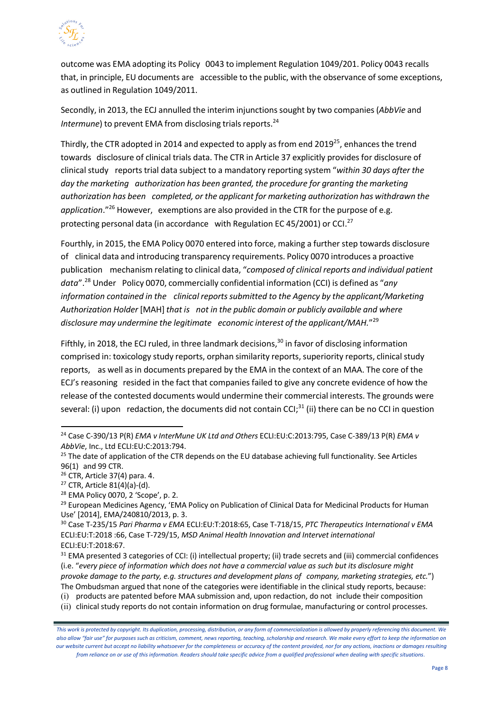

outcome was EMA adopting its Policy 0043 to implement Regulation 1049/201. Policy 0043 recalls that, in principle, EU documents are accessible to the public, with the observance of some exceptions, as outlined in Regulation 1049/2011.

Secondly, in 2013, the ECJ annulled the interim injunctionssought by two companies(*AbbVie* and *Intermune*) to prevent EMA from disclosing trials reports.<sup>24</sup>

Thirdly, the CTR adopted in 2014 and expected to apply as from end 2019<sup>25</sup>, enhances the trend towards disclosure of clinical trials data. The CTR in Article 37 explicitly provides for disclosure of clinicalstudy reports trial data subject to a mandatory reporting system "*within 30 days after the day the marketing authorization has been granted, the procedure for granting the marketing authorization has been completed, or the applicant for marketing authorization has withdrawn the application*."[26](#page-7-2) However, exemptions are also provided in the CTR for the purpose of e.g. protecting personal data (in accordance with Regulation EC 45/2001) or CCI.<sup>[27](#page-7-3)</sup>

Fourthly, in 2015, the EMA Policy 0070 entered into force, making a further step towards disclosure of clinical data and introducing transparency requirements. Policy 0070 introduces a proactive publication mechanism relating to clinical data, "*composed of clinical reports and individual patient data*".[28](#page-7-4) Under Policy 0070, commercially confidential information (CCI) is defined as "*any information contained in the clinical reportssubmitted to the Agency by the applicant/Marketing Authorization Holder* [MAH] *that is not in the public domain or publicly available and where disclosure may undermine the legitimate economic interest of the applicant/MAH.*"[29](#page-7-5)

Fifthly, in 2018, the ECJ ruled, in three landmark decisions.<sup>[30](#page-7-6)</sup> in favor of disclosing information comprised in: toxicology study reports, orphan similarity reports, superiority reports, clinical study reports, as well as in documents prepared by the EMA in the context of an MAA. The core of the ECJ's reasoning resided in the fact that companiesfailed to give any concrete evidence of how the release of the contested documents would undermine their commercial interests. The grounds were several: (i) upon redaction, the documents did not contain CCI;<sup>[31](#page-7-7)</sup> (ii) there can be no CCI in question

<span id="page-7-0"></span><sup>24</sup> Case C-390/13 P(R) *EMA v InterMune UK Ltd and Others* ECLI:EU:C:2013:795, Case C-389/13 P(R) *EMA v AbbVie*, Inc., Ltd ECLI:EU:C:2013:794.

<span id="page-7-1"></span><sup>&</sup>lt;sup>25</sup> The date of application of the CTR depends on the EU database achieving full functionality. See Articles 96(1) and 99 CTR.

<span id="page-7-2"></span><sup>26</sup> CTR, Article 37(4) para. 4.

<span id="page-7-3"></span><sup>27</sup> CTR, Article 81(4)(a)-(d).

<span id="page-7-4"></span><sup>28</sup> EMA Policy 0070, 2 'Scope', p. 2.

<span id="page-7-5"></span><sup>&</sup>lt;sup>29</sup> European Medicines Agency, 'EMA Policy on Publication of Clinical Data for Medicinal Products for Human Use' [2014], EMA/240810/2013, p. 3.

<span id="page-7-6"></span><sup>30</sup> Case T-235/15 *Pari Pharma v EMA* ECLI:EU:T:2018:65, Case T-718/15, *PTC Therapeutics International v EMA* ECLI:EU:T:2018 :66, Case T-729/15, *MSD Animal Health Innovation and Intervet international* ECLI:EU:T:2018:67.

<span id="page-7-7"></span><sup>&</sup>lt;sup>31</sup> EMA presented 3 categories of CCI: (i) intellectual property; (ii) trade secrets and (iii) commercial confidences (i.e. "*every piece of information which does not have a commercial value as such but its disclosure might provoke damage to the party, e.g. structures and development plans of company, marketing strategies, etc.*") The Ombudsman argued that none of the categories were identifiable in the clinical study reports, because:

<sup>(</sup>i) products are patented before MAA submission and, upon redaction, do not include their composition

<sup>(</sup>ii) clinical study reports do not contain information on drug formulae, manufacturing or control processes.

*This work is protected by copyright. Its duplication, processing, distribution, or any form of commercialization is allowed by properly referencing this document. We also allow "fair use" for purposes such as criticism, comment, news reporting, teaching, scholarship and research. We make every effort to keep the information on our website current but accept no liability whatsoever for the completeness or accuracy of the content provided, nor for any actions, inactions or damages resulting from reliance on or use of this information. Readers should take specific advice from a qualified professional when dealing with specific situations*.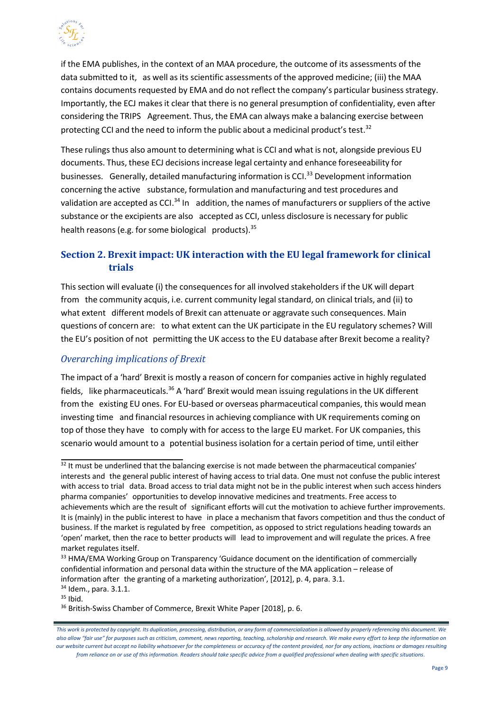

if the EMA publishes, in the context of an MAA procedure, the outcome of its assessments of the data submitted to it, as well as its scientific assessments of the approved medicine; (iii) the MAA contains documents requested by EMA and do not reflect the company's particular business strategy. Importantly, the ECJ makesit clear that there is no general presumption of confidentiality, even after considering the TRIPS Agreement. Thus, the EMA can always make a balancing exercise between protecting CCI and the need to inform the public about a medicinal product's test.<sup>[32](#page-8-1)</sup>

These rulings thus also amount to determining what is CCI and what is not, alongside previous EU documents. Thus, these ECJ decisions increase legal certainty and enhance foreseeability for businesses. Generally, detailed manufacturing information is CCI.<sup>[33](#page-8-2)</sup> Development information concerning the active substance, formulation and manufacturing and test procedures and validation are accepted as CCI. $34$  In addition, the names of manufacturers or suppliers of the active substance or the excipients are also accepted as CCI, unless disclosure is necessary for public health reasons (e.g. for some biological products).  $35$ 

#### <span id="page-8-0"></span>**Section 2. Brexit impact: UK interaction with the EU legal framework for clinical trials**

Thissection will evaluate (i) the consequences for all involved stakeholdersif the UK will depart from the community acquis, i.e. current community legal standard, on clinical trials, and (ii) to what extent different models of Brexit can attenuate or aggravate such consequences. Main questions of concern are: to what extent can the UK participate in the EU regulatory schemes? Will the EU's position of not permitting the UK access to the EU database after Brexit become a reality?

#### *Overarching implications of Brexit*

The impact of a 'hard' Brexit is mostly a reason of concern for companies active in highly regulated fields, like pharmaceuticals.<sup>36</sup> A 'hard' Brexit would mean issuing regulations in the UK different from the existing EU ones. For EU-based or overseas pharmaceutical companies, this would mean investing time and financial resources in achieving compliance with UK requirements coming on top of those they have to comply with for access to the large EU market. For UK companies, this scenario would amount to a potential business isolation for a certain period of time, until either

<span id="page-8-5"></span><span id="page-8-4"></span><span id="page-8-3"></span><sup>35</sup> Ibid.

<span id="page-8-1"></span> $32$  It must be underlined that the balancing exercise is not made between the pharmaceutical companies' interests and the general public interest of having access to trial data. One must not confuse the public interest with access to trial data. Broad access to trial data might not be in the public interest when such access hinders pharma companies' opportunities to develop innovative medicines and treatments. Free access to achievements which are the result of significant efforts will cut the motivation to achieve further improvements. It is (mainly) in the public interest to have in place a mechanism that favors competition and thus the conduct of business. If the market is regulated by free competition, as opposed to strict regulations heading towards an 'open' market, then the race to better products will lead to improvement and will regulate the prices. A free market regulates itself.

<span id="page-8-2"></span><sup>&</sup>lt;sup>33</sup> HMA/EMA Working Group on Transparency 'Guidance document on the identification of commercially confidential information and personal data within the structure of the MA application – release of information after the granting of a marketing authorization', [2012], p. 4, para. 3.1. <sup>34</sup> Idem., para. 3.1.1.

<sup>&</sup>lt;sup>36</sup> British-Swiss Chamber of Commerce, Brexit White Paper [2018], p. 6.

*This work is protected by copyright. Its duplication, processing, distribution, or any form of commercialization is allowed by properly referencing this document. We also allow "fair use" for purposes such as criticism, comment, news reporting, teaching, scholarship and research. We make every effort to keep the information on our website current but accept no liability whatsoever for the completeness or accuracy of the content provided, nor for any actions, inactions or damages resulting from reliance on or use of this information. Readers should take specific advice from a qualified professional when dealing with specific situations*.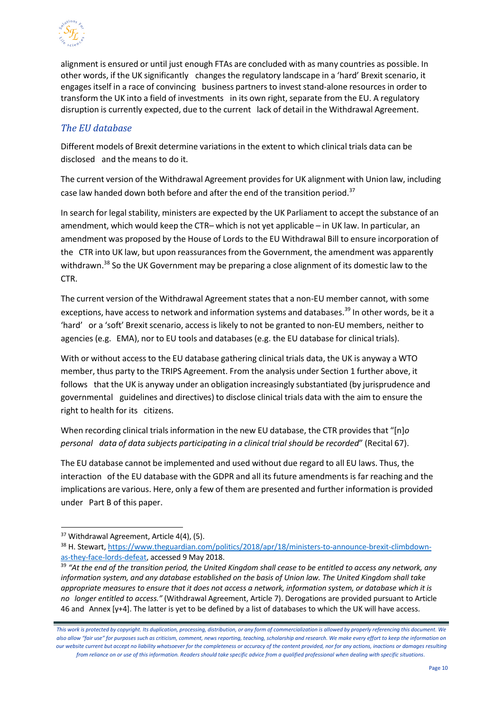

alignment is ensured or until just enough FTAs are concluded with as many countries as possible. In other words, if the UK significantly changes the regulatory landscape in a 'hard' Brexit scenario, it engages itself in a race of convincing business partnersto investstand-alone resourcesin order to transform the UK into a field of investments in its own right, separate from the EU. A regulatory disruption is currently expected, due to the current lack of detail in the Withdrawal Agreement.

#### *The EU database*

Different models of Brexit determine variations in the extent to which clinical trials data can be disclosed and the means to do it.

The current version of the Withdrawal Agreement provides for UK alignment with Union law, including case law handed down both before and after the end of the transition period.<sup>[37](#page-9-0)</sup>

In search for legal stability, ministers are expected by the UK Parliament to accept the substance of an amendment, which would keep the CTR– which is not yet applicable – in UK law. In particular, an amendment was proposed by the House of Lords to the EU Withdrawal Bill to ensure incorporation of the CTR into UK law, but upon reassurances from the Government, the amendment was apparently withdrawn.<sup>38</sup> So the UK Government may be preparing a close alignment of its domestic law to the CTR.

The current version of the Withdrawal Agreement states that a non-EU member cannot, with some exceptions, have access to network and information systems and databases.<sup>39</sup> In other words, be it a 'hard' or a 'soft' Brexit scenario, access is likely to not be granted to non-EU members, neither to agencies (e.g. EMA), nor to EU tools and databases (e.g. the EU database for clinical trials).

With or without accessto the EU database gathering clinical trials data, the UK is anyway a WTO member, thus party to the TRIPS Agreement. From the analysis under Section 1 further above, it follows that the UK is anyway under an obligation increasingly substantiated (by jurisprudence and governmental guidelines and directives) to disclose clinical trials data with the aim to ensure the right to health for its citizens.

When recording clinical trialsinformation in the new EU database, the CTR provides that "[n]*o personal data of data subjects participating in a clinical trial should be recorded*" (Recital 67).

The EU database cannot be implemented and used without due regard to all EU laws. Thus, the interaction of the EU database with the GDPR and all its future amendments is far reaching and the implications are various. Here, only a few of them are presented and further information is provided under Part B of this paper.

<span id="page-9-0"></span><sup>&</sup>lt;sup>37</sup> Withdrawal Agreement, Article 4(4), (5).

<span id="page-9-1"></span><sup>38</sup> H. Stewart, [https://www.theguardian.com/politics/2018/apr/18/ministers-to-announce-brexit-climbdown](https://www.theguardian.com/politics/2018/apr/18/ministers-to-announce-brexit-climbdown-as-they-face-lords-defeat)[as-they-face-lords-defeat,](https://www.theguardian.com/politics/2018/apr/18/ministers-to-announce-brexit-climbdown-as-they-face-lords-defeat) accessed 9 May 2018.

<span id="page-9-2"></span><sup>39</sup> *"At the end of the transition period, the United Kingdom shall cease to be entitled to access any network, any information system, and any database established on the basis of Union law. The United Kingdom shall take appropriate measures to ensure that it does not access a network, information system, or database which it is no longer entitled to access."* (Withdrawal Agreement, Article 7). Derogations are provided pursuant to Article 46 and Annex [y+4]. The latter is yet to be defined by a list of databases to which the UK will have access.

*This work is protected by copyright. Its duplication, processing, distribution, or any form of commercialization is allowed by properly referencing this document. We also allow "fair use" for purposes such as criticism, comment, news reporting, teaching, scholarship and research. We make every effort to keep the information on our website current but accept no liability whatsoever for the completeness or accuracy of the content provided, nor for any actions, inactions or damages resulting from reliance on or use of this information. Readers should take specific advice from a qualified professional when dealing with specific situations*.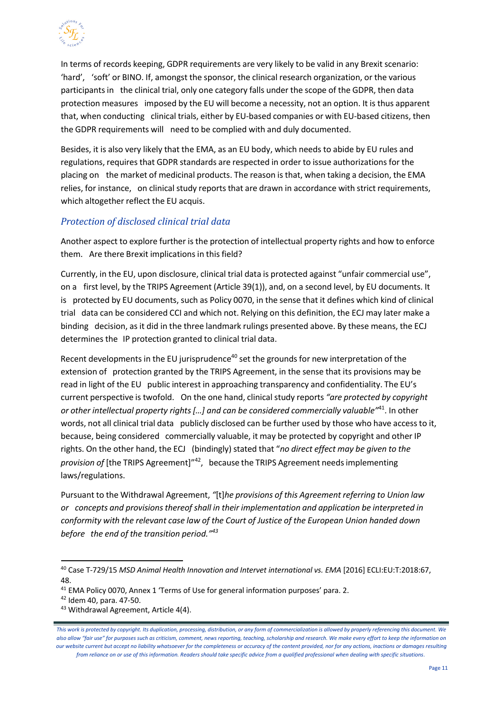

In terms of records keeping, GDPR requirements are very likely to be valid in any Brexit scenario: 'hard', 'soft' or BINO. If, amongst the sponsor, the clinical research organization, or the various participantsin the clinical trial, only one category falls under the scope of the GDPR, then data protection measures imposed by the EU will become a necessity, not an option. It is thus apparent that, when conducting clinical trials, either by EU-based companies or with EU-based citizens, then the GDPR requirements will need to be complied with and duly documented.

Besides, it is also very likely that the EMA, as an EU body, which needs to abide by EU rules and regulations, requires that GDPR standards are respected in order to issue authorizations for the placing on the market of medicinal products. The reason is that, when taking a decision, the EMA relies, for instance, on clinical study reports that are drawn in accordance with strict requirements, which altogether reflect the EU acquis.

#### *Protection of disclosed clinical trial data*

Another aspect to explore further is the protection of intellectual property rights and how to enforce them. Are there Brexit implications in this field?

Currently, in the EU, upon disclosure, clinical trial data is protected against "unfair commercial use", on a first level, by the TRIPS Agreement (Article 39(1)), and, on a second level, by EU documents. It is protected by EU documents, such as Policy 0070, in the sense that it defines which kind of clinical trial data can be considered CCI and which not. Relying on this definition, the ECJ may later make a binding decision, asit did in the three landmark rulings presented above. By these means, the ECJ determinesthe IP protection granted to clinical trial data.

Recent developments in the EU jurisprudence<sup>40</sup> set the grounds for new interpretation of the extension of protection granted by the TRIPS Agreement, in the sense that its provisions may be read in light of the EU public interest in approaching transparency and confidentiality. The EU's current perspective is twofold. On the one hand, clinical study reports *"are protected by copyright or other intellectual property rights[…] and can be considered commercially valuable"*[41.](#page-10-1) In other words, not all clinical trial data publicly disclosed can be further used by those who have accessto it, because, being considered commercially valuable, it may be protected by copyright and other IP rights. On the other hand, the ECJ (bindingly)stated that "*no direct effect may be given to the provision of* [the TRIPS Agreement]"[42,](#page-10-2) because the TRIPS Agreement needsimplementing laws/regulations.

Pursuant to the Withdrawal Agreement, *"*[t]*he provisions of this Agreement referring to Union law or concepts and provisionsthereof shall in their implementation and application be interpreted in conformity with the relevant case law of the Court of Justice of the European Union handed down before the end of the transition period."[43](#page-10-3)*

<span id="page-10-0"></span><sup>40</sup> Case T-729/15 *MSD Animal Health Innovation and Intervet international vs. EMA* [2016] ECLI:EU:T:2018:67, 48.

<span id="page-10-1"></span><sup>&</sup>lt;sup>41</sup> EMA Policy 0070, Annex 1 'Terms of Use for general information purposes' para. 2.

<span id="page-10-2"></span><sup>42</sup> Idem 40, para. 47-50.

<span id="page-10-3"></span><sup>43</sup> Withdrawal Agreement, Article 4(4).

*This work is protected by copyright. Its duplication, processing, distribution, or any form of commercialization is allowed by properly referencing this document. We also allow "fair use" for purposes such as criticism, comment, news reporting, teaching, scholarship and research. We make every effort to keep the information on our website current but accept no liability whatsoever for the completeness or accuracy of the content provided, nor for any actions, inactions or damages resulting from reliance on or use of this information. Readers should take specific advice from a qualified professional when dealing with specific situations*.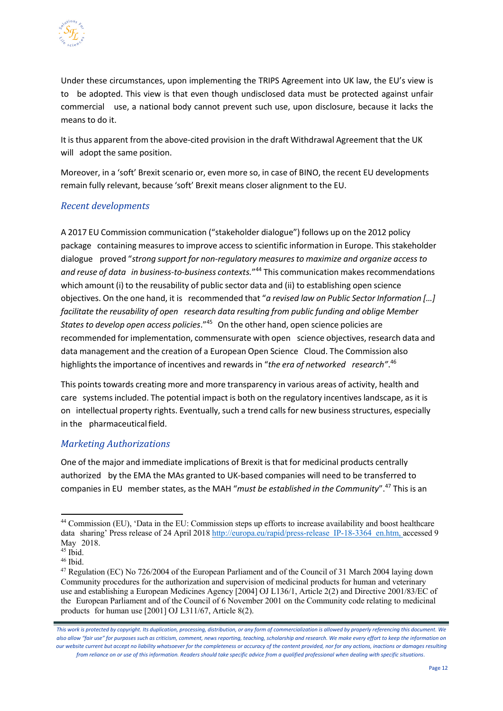

Under these circumstances, upon implementing the TRIPS Agreement into UK law, the EU's view is to be adopted. This view is that even though undisclosed data must be protected against unfair commercial use, a national body cannot prevent such use, upon disclosure, because it lacks the means to do it.

It is thus apparent from the above-cited provision in the draft Withdrawal Agreement that the UK will adopt the same position.

Moreover, in a 'soft' Brexit scenario or, even more so, in case of BINO, the recent EU developments remain fully relevant, because 'soft' Brexit means closer alignment to the EU.

#### *Recent developments*

A 2017 EU Commission communication ("stakeholder dialogue") follows up on the 2012 policy package containing measures to improve access to scientific information in Europe. This stakeholder dialogue proved "*strong support for non-regulatory measuresto maximize and organize access to and reuse of data in business-to-business contexts.*"[44](#page-11-0) This communication makesrecommendations which amount (i) to the reusability of public sector data and (ii) to establishing open science objectives. On the one hand, it is recommended that "*a revised law on Public Sector Information […] facilitate the reusability of open research data resulting from public funding and oblige Member States to develop open access policies*.["45](#page-11-1) On the other hand, open science policies are recommended for implementation, commensurate with open science objectives, research data and data management and the creation of a European Open Science Cloud. The Commission also highlights the importance of incentives and rewards in "the era of networked research".<sup>[46](#page-11-2)</sup>

This points towards creating more and more transparency in various areas of activity, health and care systems included. The potential impact is both on the regulatory incentives landscape, as it is on intellectual property rights. Eventually, such a trend calls for new business structures, especially in the pharmaceutical field.

#### *Marketing Authorizations*

One of the major and immediate implications of Brexit is that for medicinal products centrally authorized by the EMA the MAs granted to UK-based companies will need to be transferred to companies in EU member states, as the MAH "*must be established in the Community*"[.47](#page-11-3) This is an

<span id="page-11-0"></span><sup>44</sup> Commission (EU), 'Data in the EU: Commission steps up efforts to increase availability and boost healthcare data sharing' Press release of 24 April 2018 http://europa.eu/rapid/press-release IP-18-3364 en.htm, accessed 9 May 2018.

<span id="page-11-1"></span> $45$  Ibid.

<span id="page-11-2"></span> $46$  Ibid.

<span id="page-11-3"></span><sup>47</sup> Regulation (EC) No 726/2004 of the European Parliament and of the Council of 31 March 2004 laying down Community procedures for the authorization and supervision of medicinal products for human and veterinary use and establishing a European Medicines Agency [2004] OJ L136/1, Article 2(2) and Directive 2001/83/EC of the European Parliament and of the Council of 6 November 2001 on the Community code relating to medicinal products for human use [2001] OJ L311/67, Article 8(2).

*This work is protected by copyright. Its duplication, processing, distribution, or any form of commercialization is allowed by properly referencing this document. We also allow "fair use" for purposes such as criticism, comment, news reporting, teaching, scholarship and research. We make every effort to keep the information on our website current but accept no liability whatsoever for the completeness or accuracy of the content provided, nor for any actions, inactions or damages resulting from reliance on or use of this information. Readers should take specific advice from a qualified professional when dealing with specific situations*.